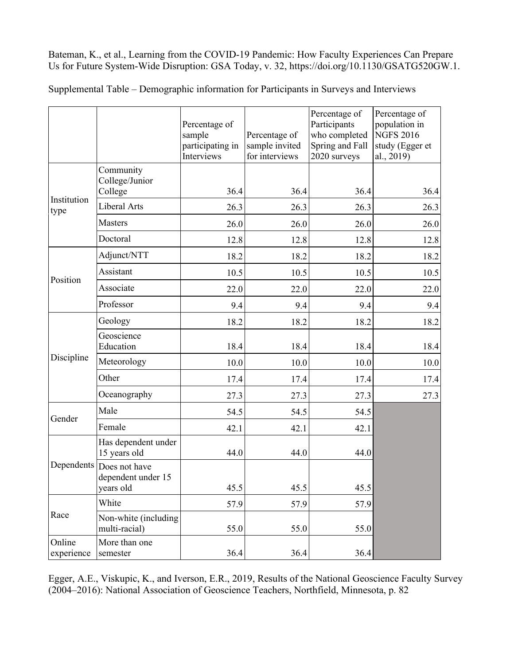Bateman, K., et al., Learning from the COVID-19 Pandemic: How Faculty Experiences Can Prepare Us for Future System-Wide Disruption: GSA Today, v. 32, https://doi.org/10.1130/GSATG520GW.1.

Supplemental Table – Demographic information for Participants in Surveys and Interviews

|                      |                                                             | Percentage of<br>sample<br>participating in<br>Interviews | Percentage of<br>sample invited<br>for interviews | Percentage of<br>Participants<br>who completed<br>Spring and Fall<br>2020 surveys | Percentage of<br>population in<br><b>NGFS 2016</b><br>study (Egger et<br>al., 2019) |
|----------------------|-------------------------------------------------------------|-----------------------------------------------------------|---------------------------------------------------|-----------------------------------------------------------------------------------|-------------------------------------------------------------------------------------|
| Institution<br>type  | Community<br>College/Junior<br>College                      | 36.4                                                      | 36.4                                              | 36.4                                                                              | 36.4                                                                                |
|                      | Liberal Arts                                                | 26.3                                                      | 26.3                                              | 26.3                                                                              | 26.3                                                                                |
|                      | <b>Masters</b>                                              | 26.0                                                      | 26.0                                              | 26.0                                                                              | 26.0                                                                                |
|                      | Doctoral                                                    | 12.8                                                      | 12.8                                              | 12.8                                                                              | 12.8                                                                                |
| Position             | Adjunct/NTT                                                 | 18.2                                                      | 18.2                                              | 18.2                                                                              | 18.2                                                                                |
|                      | Assistant                                                   | 10.5                                                      | 10.5                                              | 10.5                                                                              | 10.5                                                                                |
|                      | Associate                                                   | 22.0                                                      | 22.0                                              | 22.0                                                                              | 22.0                                                                                |
|                      | Professor                                                   | 9.4                                                       | 9.4                                               | 9.4                                                                               | 9.4                                                                                 |
| Discipline           | Geology                                                     | 18.2                                                      | 18.2                                              | 18.2                                                                              | 18.2                                                                                |
|                      | Geoscience<br>Education                                     | 18.4                                                      | 18.4                                              | 18.4                                                                              | 18.4                                                                                |
|                      | Meteorology                                                 | 10.0                                                      | 10.0                                              | 10.0                                                                              | 10.0                                                                                |
|                      | Other                                                       | 17.4                                                      | 17.4                                              | 17.4                                                                              | 17.4                                                                                |
|                      | Oceanography                                                | 27.3                                                      | 27.3                                              | 27.3                                                                              | 27.3                                                                                |
| Gender               | Male                                                        | 54.5                                                      | 54.5                                              | 54.5                                                                              |                                                                                     |
|                      | Female                                                      | 42.1                                                      | 42.1                                              | 42.1                                                                              |                                                                                     |
|                      | Has dependent under<br>15 years old                         | 44.0                                                      | 44.0                                              | 44.0                                                                              |                                                                                     |
|                      | Dependents Does not have<br>dependent under 15<br>years old | 45.5                                                      | 45.5                                              | 45.5                                                                              |                                                                                     |
| Race                 | White                                                       | 57.9                                                      | 57.9                                              | 57.9                                                                              |                                                                                     |
|                      | Non-white (including<br>multi-racial)                       | 55.0                                                      | 55.0                                              | 55.0                                                                              |                                                                                     |
| Online<br>experience | More than one<br>semester                                   | 36.4                                                      | 36.4                                              | 36.4                                                                              |                                                                                     |

Egger, A.E., Viskupic, K., and Iverson, E.R., 2019, Results of the National Geoscience Faculty Survey (2004–2016): National Association of Geoscience Teachers, Northfield, Minnesota, p. 82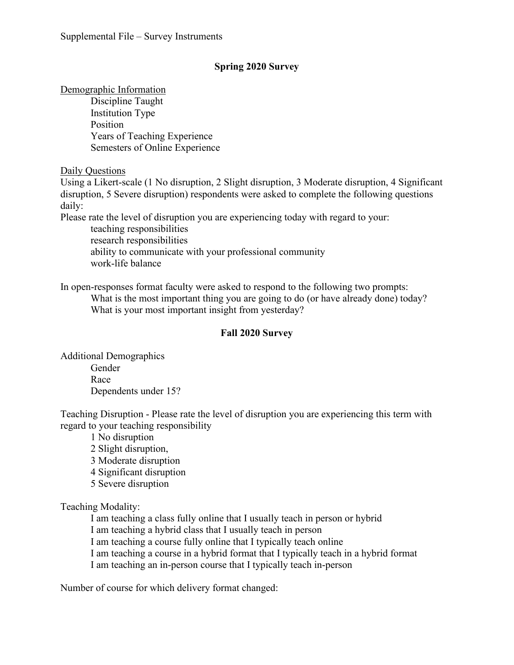# **Spring 2020 Survey**

## Demographic Information

Discipline Taught Institution Type Position Years of Teaching Experience Semesters of Online Experience

Daily Questions

Using a Likert-scale (1 No disruption, 2 Slight disruption, 3 Moderate disruption, 4 Significant disruption, 5 Severe disruption) respondents were asked to complete the following questions daily:

Please rate the level of disruption you are experiencing today with regard to your:

teaching responsibilities research responsibilities ability to communicate with your professional community work-life balance

In open-responses format faculty were asked to respond to the following two prompts: What is the most important thing you are going to do (or have already done) today? What is your most important insight from yesterday?

## **Fall 2020 Survey**

Additional Demographics Gender Race Dependents under 15?

Teaching Disruption - Please rate the level of disruption you are experiencing this term with regard to your teaching responsibility

1 No disruption 2 Slight disruption, 3 Moderate disruption 4 Significant disruption 5 Severe disruption Teaching Modality:

I am teaching a class fully online that I usually teach in person or hybrid

I am teaching a hybrid class that I usually teach in person

I am teaching a course fully online that I typically teach online

I am teaching a course in a hybrid format that I typically teach in a hybrid format

I am teaching an in-person course that I typically teach in-person

Number of course for which delivery format changed: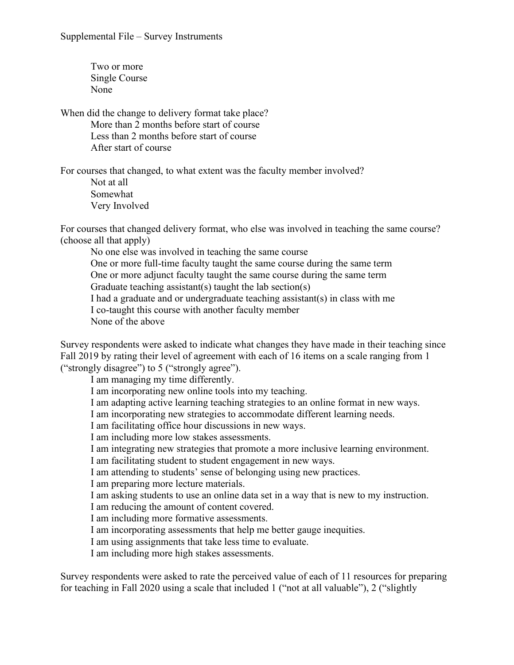Supplemental File – Survey Instruments

Two or more Single Course None

When did the change to delivery format take place? More than 2 months before start of course Less than 2 months before start of course After start of course

For courses that changed, to what extent was the faculty member involved?

Not at all Somewhat Very Involved

For courses that changed delivery format, who else was involved in teaching the same course? (choose all that apply)

No one else was involved in teaching the same course One or more full-time faculty taught the same course during the same term

One or more adjunct faculty taught the same course during the same term

Graduate teaching assistant(s) taught the lab section(s)

I had a graduate and or undergraduate teaching assistant(s) in class with me

I co-taught this course with another faculty member

None of the above

Survey respondents were asked to indicate what changes they have made in their teaching since Fall 2019 by rating their level of agreement with each of 16 items on a scale ranging from 1 ("strongly disagree") to 5 ("strongly agree").

I am managing my time differently. I am incorporating new online tools into my teaching. I am adapting active learning teaching strategies to an online format in new ways. I am incorporating new strategies to accommodate different learning needs. I am facilitating office hour discussions in new ways. I am including more low stakes assessments. I am integrating new strategies that promote a more inclusive learning environment. I am facilitating student to student engagement in new ways. I am attending to students' sense of belonging using new practices. I am preparing more lecture materials. I am asking students to use an online data set in a way that is new to my instruction. I am reducing the amount of content covered. I am including more formative assessments. I am incorporating assessments that help me better gauge inequities. I am using assignments that take less time to evaluate. I am including more high stakes assessments.

Survey respondents were asked to rate the perceived value of each of 11 resources for preparing for teaching in Fall 2020 using a scale that included 1 ("not at all valuable"), 2 ("slightly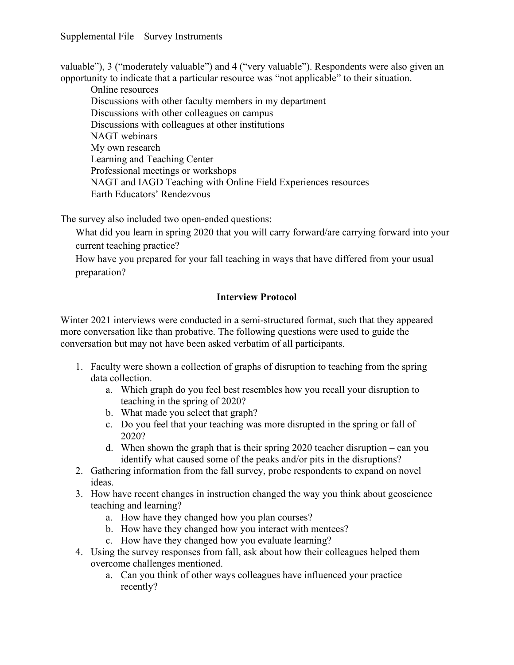### Supplemental File – Survey Instruments

valuable"), 3 ("moderately valuable") and 4 ("very valuable"). Respondents were also given an opportunity to indicate that a particular resource was "not applicable" to their situation.

Online resources Discussions with other faculty members in my department Discussions with other colleagues on campus Discussions with colleagues at other institutions NAGT webinars My own research Learning and Teaching Center Professional meetings or workshops NAGT and IAGD Teaching with Online Field Experiences resources Earth Educators' Rendezvous

The survey also included two open-ended questions:

What did you learn in spring 2020 that you will carry forward/are carrying forward into your current teaching practice?

How have you prepared for your fall teaching in ways that have differed from your usual preparation?

### **Interview Protocol**

Winter 2021 interviews were conducted in a semi-structured format, such that they appeared more conversation like than probative. The following questions were used to guide the conversation but may not have been asked verbatim of all participants.

- 1. Faculty were shown a collection of graphs of disruption to teaching from the spring data collection.
	- a. Which graph do you feel best resembles how you recall your disruption to teaching in the spring of 2020?
	- b. What made you select that graph?
	- c. Do you feel that your teaching was more disrupted in the spring or fall of 2020?
	- d. When shown the graph that is their spring 2020 teacher disruption can you identify what caused some of the peaks and/or pits in the disruptions?
- 2. Gathering information from the fall survey, probe respondents to expand on novel ideas.
- 3. How have recent changes in instruction changed the way you think about geoscience teaching and learning?
	- a. How have they changed how you plan courses?
	- b. How have they changed how you interact with mentees?
	- c. How have they changed how you evaluate learning?
- 4. Using the survey responses from fall, ask about how their colleagues helped them overcome challenges mentioned.
	- a. Can you think of other ways colleagues have influenced your practice recently?